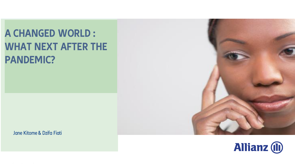## **A CHANGED WORLD : WHAT NEXT AFTER THE PANDEMIC?**

Jane Kitome & Dzifa Fiati



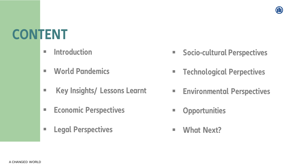# **CONTENT**

- **Introduction**
- **World Pandemics**
- **Key Insights/ Lessons Learnt**
- **Economic Perspectives**
- **Legal Perspectives**
- **Ending Socio-cultural Perspectives**
- **Technological Perpectives**
- **Environmental Perspectives**
- **Opportunities**
- **What Next?**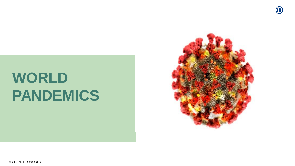

# **WORLD PANDEMICS**

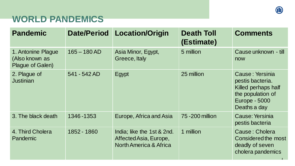### **WORLD PANDEMICS**

| <b>Pandemic</b>                                          | <b>Date/Period</b> | <b>Location/Origin</b>                                                         | <b>Death Toll</b><br>(Estimate) | <b>Comments</b>                                                                                                         |
|----------------------------------------------------------|--------------------|--------------------------------------------------------------------------------|---------------------------------|-------------------------------------------------------------------------------------------------------------------------|
| 1. Antonine Plague<br>(Also known as<br>Plague of Galen) | $165 - 180$ AD     | Asia Minor, Egypt,<br>Greece, Italy                                            | 5 million                       | Cause unknown - till<br>now                                                                                             |
| 2. Plague of<br><b>Justinian</b>                         | 541 - 542 AD       | Egypt                                                                          | 25 million                      | Cause: Yersinia<br>pestis bacteria.<br>Killed perhaps half<br>the population of<br><b>Europe - 5000</b><br>Deaths a day |
| 3. The black death                                       | 1346-1353          | Europe, Africa and Asia                                                        | 75 - 200 million                | <b>Cause: Yersinia</b><br>pestis bacteria                                                                               |
| 4. Third Cholera<br><b>Pandemic</b>                      | 1852 - 1860        | India; like the 1st & 2nd.<br>Affected Asia, Europe,<br>North America & Africa | 1 million                       | Cause: Cholera<br>Considered the most<br>deadly of seven<br>cholera pandemics                                           |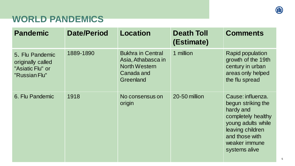### **WORLD PANDEMICS**

| <b>Pandemic</b>                                                           | <b>Date/Period</b> | Location                                                                                          | <b>Death Toll</b><br>(Estimate) | <b>Comments</b>                                                                                                                                                          |
|---------------------------------------------------------------------------|--------------------|---------------------------------------------------------------------------------------------------|---------------------------------|--------------------------------------------------------------------------------------------------------------------------------------------------------------------------|
| 5. Flu Pandemic<br>originally called<br>"Asiatic Flu" or<br>"Russian Flu" | 1889-1890          | <b>Bukhra in Central</b><br>Asia, Athabasca in<br><b>North Western</b><br>Canada and<br>Greenland | 1 million                       | <b>Rapid population</b><br>growth of the 19th<br>century in urban<br>areas only helped<br>the flu spread                                                                 |
| 6. Flu Pandemic                                                           | 1918               | No consensus on<br>origin                                                                         | 20-50 million                   | Cause: influenza.<br>begun striking the<br>hardy and<br>completely healthy<br>young adults while<br>leaving children<br>and those with<br>weaker immune<br>systems alive |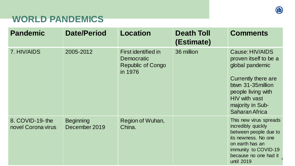### **WORLD PANDEMICS**

| <b>Pandemic</b>                       | <b>Date/Period</b>                | <b>Location</b>                                                          | <b>Death Toll</b><br>(Estimate) | <b>Comments</b>                                                                                                                                                                                     |
|---------------------------------------|-----------------------------------|--------------------------------------------------------------------------|---------------------------------|-----------------------------------------------------------------------------------------------------------------------------------------------------------------------------------------------------|
| 7. HIV/AIDS                           | 2005-2012                         | First identified in<br>Democratic<br><b>Republic of Congo</b><br>in 1976 | 36 million                      | Cause: HIV/AIDS<br>proven itself to be a<br>global pandemic<br>Currently there are<br>btwn 31-35 million<br>people living with<br><b>HIV with vast</b><br>majority in Sub-<br><b>Saharan Africa</b> |
| 8. COVID-19-the<br>novel Corona virus | <b>Beginning</b><br>December 2019 | Region of Wuhan,<br>China.                                               |                                 | This new virus spreads<br>incredibly quickly<br>between people due to<br>its newness. No one<br>on earth has an<br>immunity to COVID-19<br>because no one had it<br>until 2019                      |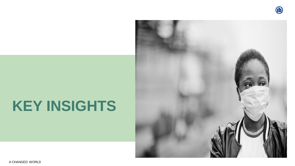

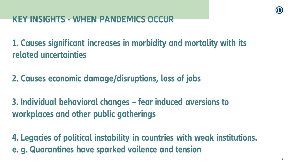

### **KEY INSIGHTS - WHEN PANDEMICS OCCUR**

**1. Causes significant increases in morbidity and mortality with its related uncertainties**

**2. Causes economic damage/disruptions, loss of jobs**

**3. Individual behavioral changes – fear induced aversions to workplaces and other public gatherings**

**4. Legacies of political instability in countries with weak institutions. e. g. Quarantines have sparked voilence and tension**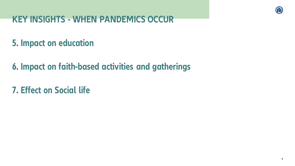### **KEY INSIGHTS - WHEN PANDEMICS OCCUR**

### **5. Impact on education**

**6. Impact on faith-based activities and gatherings**

**7. Effect on Social life**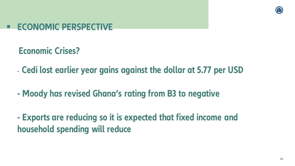

### **ECONOMIC PERSPECTIVE**

**Economic Crises?**

- **Cedi lost earlier year gains against the dollar at 5.77 per USD**

**- Moody has revised Ghana's rating from B3 to negative**

**- Exports are reducing so it is expected that fixed income and household spending will reduce**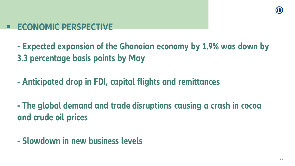

### **ECONOMIC PERSPECTIVE**

**- Expected expansion of the Ghanaian economy by 1.9% was down by 3.3 percentage basis points by May**

**- Anticipated drop in FDI, capital flights and remittances**

**- The global demand and trade disruptions causing a crash in cocoa and crude oil prices**

**- Slowdown in new business levels**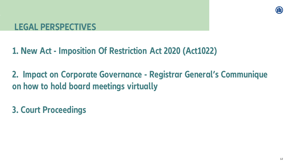**1. New Act - Imposition Of Restriction Act 2020 (Act1022)**

**2. Impact on Corporate Governance - Registrar General's Communique on how to hold board meetings virtually**

**3. Court Proceedings**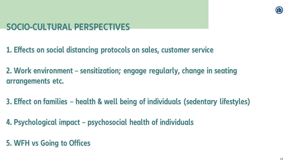

### **SOCIO-CULTURAL PERSPECTIVES**

- **1. Effects on social distancing protocols on sales, customer service**
- **2. Work environment – sensitization; engage regularly, change in seating arrangements etc.**
- **3. Effect on families – health & well being of individuals (sedentary lifestyles)**
- **4. Psychological impact – psychosocial health of individuals**
- **5. WFH vs Going to Offices**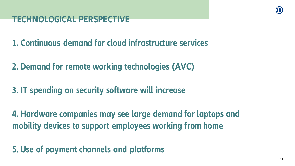**1. Continuous demand for cloud infrastructure services**

**2. Demand for remote working technologies (AVC)**

**3. IT spending on security software will increase**

**4. Hardware companies may see large demand for laptops and mobility devices to support employees working from home**

**5. Use of payment channels and platforms**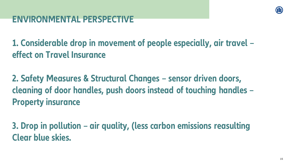### **ENVIRONMENTAL PERSPECTIVE**

**1. Considerable drop in movement of people especially, air travel – effect on Travel Insurance**

**2. Safety Measures & Structural Changes – sensor driven doors, cleaning of door handles, push doors instead of touching handles – Property insurance**

**3. Drop in pollution – air quality, (less carbon emissions reasulting Clear blue skies.**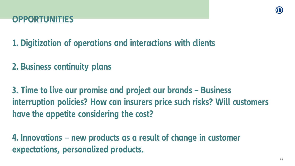

**1. Digitization of operations and interactions with clients** 

**2. Business continuity plans**

**3. Time to live our promise and project our brands – Business interruption policies? How can insurers price such risks? Will customers have the appetite considering the cost?**

**4. Innovations – new products as a result of change in customer expectations, personalized products.**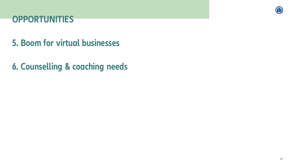

### **5. Boom for virtual businesses**

**6. Counselling & coaching needs**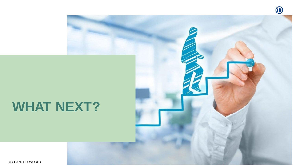

## **WHAT NEXT?**

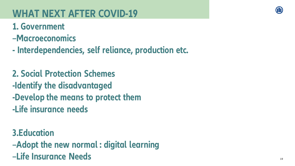## **WHAT NEXT AFTER COVID-19**

### **1. Government**

- **–Macroeconomics**
- **- Interdependencies, self reliance, production etc.**

**2. Social Protection Schemes -Identify the disadvantaged -Develop the means to protect them -Life insurance needs** 

**3.Education –Adopt the new normal : digital learning –Life Insurance Needs**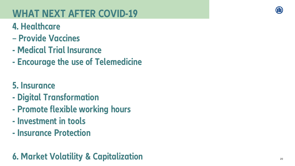## **WHAT NEXT AFTER COVID -19**

## **4. Healthcare**

- **– Provide Vaccines**
- **- Medical Trial Insurance**
- **- Encourage the use of Telemedicine**

## **5. Insurance**

- **- Digital Transformation**
- **- Promote flexible working hours**
- **- Investment in tools**
- **- Insurance Protection**

## **6. Market Volatility & Capitalization**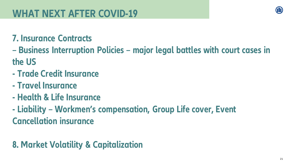### **7. Insurance Contracts**

**– Business Interruption Policies – major legal battles with court cases in the US**

- **- Trade Credit Insurance**
- **- Travel Insurance**
- **- Health & Life Insurance**
- **- Liability – Workmen's compensation, Group Life cover, Event Cancellation insurance**

### **8. Market Volatility & Capitalization**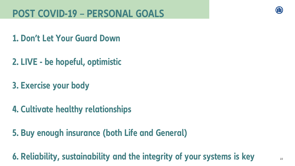### **1. Don't Let Your Guard Down**

- **2. LIVE - be hopeful, optimistic**
- **3. Exercise your body**
- **4. Cultivate healthy relationships**
- **5. Buy enough insurance (both Life and General)**

**6. Reliability, sustainability and the integrity of your systems is key**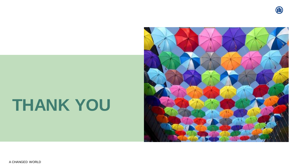

# **THANK YOU**